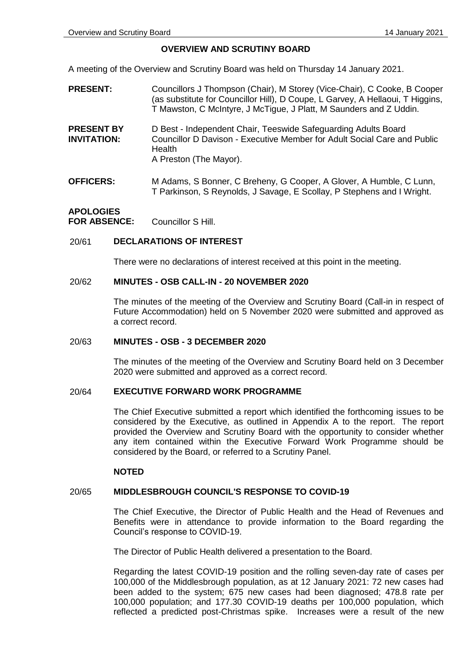#### **OVERVIEW AND SCRUTINY BOARD**

A meeting of the Overview and Scrutiny Board was held on Thursday 14 January 2021.

- **PRESENT:** Councillors J Thompson (Chair), M Storey (Vice-Chair), C Cooke, B Cooper (as substitute for Councillor Hill), D Coupe, L Garvey, A Hellaoui, T Higgins, T Mawston, C McIntyre, J McTigue, J Platt, M Saunders and Z Uddin.
- **PRESENT BY INVITATION:** D Best - Independent Chair, Teeswide Safeguarding Adults Board Councillor D Davison - Executive Member for Adult Social Care and Public Health A Preston (The Mayor).
- **OFFICERS:** M Adams, S Bonner, C Breheny, G Cooper, A Glover, A Humble, C Lunn, T Parkinson, S Reynolds, J Savage, E Scollay, P Stephens and I Wright.

# **APOLOGIES FOR ABSENCE:** Councillor S Hill.

## 20/61 **DECLARATIONS OF INTEREST**

There were no declarations of interest received at this point in the meeting.

#### 20/62 **MINUTES - OSB CALL-IN - 20 NOVEMBER 2020**

The minutes of the meeting of the Overview and Scrutiny Board (Call-in in respect of Future Accommodation) held on 5 November 2020 were submitted and approved as a correct record.

## 20/63 **MINUTES - OSB - 3 DECEMBER 2020**

The minutes of the meeting of the Overview and Scrutiny Board held on 3 December 2020 were submitted and approved as a correct record.

#### 20/64 **EXECUTIVE FORWARD WORK PROGRAMME**

The Chief Executive submitted a report which identified the forthcoming issues to be considered by the Executive, as outlined in Appendix A to the report. The report provided the Overview and Scrutiny Board with the opportunity to consider whether any item contained within the Executive Forward Work Programme should be considered by the Board, or referred to a Scrutiny Panel.

## **NOTED**

## 20/65 **MIDDLESBROUGH COUNCIL'S RESPONSE TO COVID-19**

The Chief Executive, the Director of Public Health and the Head of Revenues and Benefits were in attendance to provide information to the Board regarding the Council's response to COVID-19.

The Director of Public Health delivered a presentation to the Board.

Regarding the latest COVID-19 position and the rolling seven-day rate of cases per 100,000 of the Middlesbrough population, as at 12 January 2021: 72 new cases had been added to the system; 675 new cases had been diagnosed; 478.8 rate per 100,000 population; and 177.30 COVID-19 deaths per 100,000 population, which reflected a predicted post-Christmas spike. Increases were a result of the new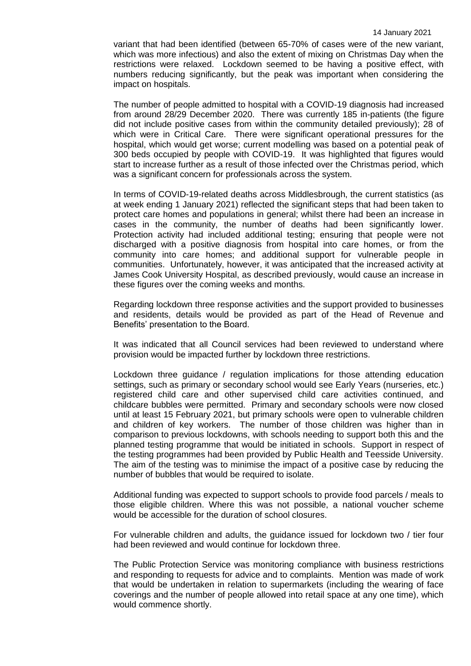variant that had been identified (between 65-70% of cases were of the new variant, which was more infectious) and also the extent of mixing on Christmas Day when the restrictions were relaxed. Lockdown seemed to be having a positive effect, with numbers reducing significantly, but the peak was important when considering the impact on hospitals.

The number of people admitted to hospital with a COVID-19 diagnosis had increased from around 28/29 December 2020. There was currently 185 in-patients (the figure did not include positive cases from within the community detailed previously); 28 of which were in Critical Care. There were significant operational pressures for the hospital, which would get worse; current modelling was based on a potential peak of 300 beds occupied by people with COVID-19. It was highlighted that figures would start to increase further as a result of those infected over the Christmas period, which was a significant concern for professionals across the system.

In terms of COVID-19-related deaths across Middlesbrough, the current statistics (as at week ending 1 January 2021) reflected the significant steps that had been taken to protect care homes and populations in general; whilst there had been an increase in cases in the community, the number of deaths had been significantly lower. Protection activity had included additional testing; ensuring that people were not discharged with a positive diagnosis from hospital into care homes, or from the community into care homes; and additional support for vulnerable people in communities. Unfortunately, however, it was anticipated that the increased activity at James Cook University Hospital, as described previously, would cause an increase in these figures over the coming weeks and months.

Regarding lockdown three response activities and the support provided to businesses and residents, details would be provided as part of the Head of Revenue and Benefits' presentation to the Board.

It was indicated that all Council services had been reviewed to understand where provision would be impacted further by lockdown three restrictions.

Lockdown three guidance / regulation implications for those attending education settings, such as primary or secondary school would see Early Years (nurseries, etc.) registered child care and other supervised child care activities continued, and childcare bubbles were permitted. Primary and secondary schools were now closed until at least 15 February 2021, but primary schools were open to vulnerable children and children of key workers. The number of those children was higher than in comparison to previous lockdowns, with schools needing to support both this and the planned testing programme that would be initiated in schools. Support in respect of the testing programmes had been provided by Public Health and Teesside University. The aim of the testing was to minimise the impact of a positive case by reducing the number of bubbles that would be required to isolate.

Additional funding was expected to support schools to provide food parcels / meals to those eligible children. Where this was not possible, a national voucher scheme would be accessible for the duration of school closures.

For vulnerable children and adults, the guidance issued for lockdown two / tier four had been reviewed and would continue for lockdown three.

The Public Protection Service was monitoring compliance with business restrictions and responding to requests for advice and to complaints. Mention was made of work that would be undertaken in relation to supermarkets (including the wearing of face coverings and the number of people allowed into retail space at any one time), which would commence shortly.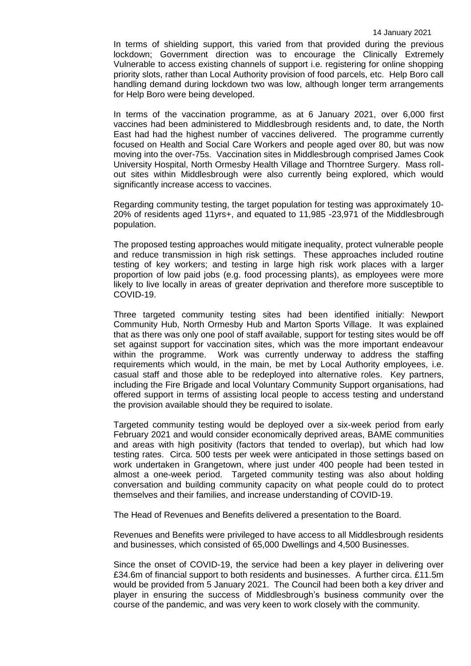In terms of shielding support, this varied from that provided during the previous lockdown; Government direction was to encourage the Clinically Extremely Vulnerable to access existing channels of support i.e. registering for online shopping priority slots, rather than Local Authority provision of food parcels, etc. Help Boro call handling demand during lockdown two was low, although longer term arrangements for Help Boro were being developed.

In terms of the vaccination programme, as at 6 January 2021, over 6,000 first vaccines had been administered to Middlesbrough residents and, to date, the North East had had the highest number of vaccines delivered. The programme currently focused on Health and Social Care Workers and people aged over 80, but was now moving into the over-75s. Vaccination sites in Middlesbrough comprised James Cook University Hospital, North Ormesby Health Village and Thorntree Surgery. Mass rollout sites within Middlesbrough were also currently being explored, which would significantly increase access to vaccines.

Regarding community testing, the target population for testing was approximately 10- 20% of residents aged 11yrs+, and equated to 11,985 -23,971 of the Middlesbrough population.

The proposed testing approaches would mitigate inequality, protect vulnerable people and reduce transmission in high risk settings. These approaches included routine testing of key workers; and testing in large high risk work places with a larger proportion of low paid jobs (e.g. food processing plants), as employees were more likely to live locally in areas of greater deprivation and therefore more susceptible to COVID-19.

Three targeted community testing sites had been identified initially: Newport Community Hub, North Ormesby Hub and Marton Sports Village. It was explained that as there was only one pool of staff available, support for testing sites would be off set against support for vaccination sites, which was the more important endeavour within the programme. Work was currently underway to address the staffing requirements which would, in the main, be met by Local Authority employees, i.e. casual staff and those able to be redeployed into alternative roles. Key partners, including the Fire Brigade and local Voluntary Community Support organisations, had offered support in terms of assisting local people to access testing and understand the provision available should they be required to isolate.

Targeted community testing would be deployed over a six-week period from early February 2021 and would consider economically deprived areas, BAME communities and areas with high positivity (factors that tended to overlap), but which had low testing rates. Circa. 500 tests per week were anticipated in those settings based on work undertaken in Grangetown, where just under 400 people had been tested in almost a one-week period. Targeted community testing was also about holding conversation and building community capacity on what people could do to protect themselves and their families, and increase understanding of COVID-19.

The Head of Revenues and Benefits delivered a presentation to the Board.

Revenues and Benefits were privileged to have access to all Middlesbrough residents and businesses, which consisted of 65,000 Dwellings and 4,500 Businesses.

Since the onset of COVID-19, the service had been a key player in delivering over £34.6m of financial support to both residents and businesses. A further circa. £11.5m would be provided from 5 January 2021. The Council had been both a key driver and player in ensuring the success of Middlesbrough's business community over the course of the pandemic, and was very keen to work closely with the community.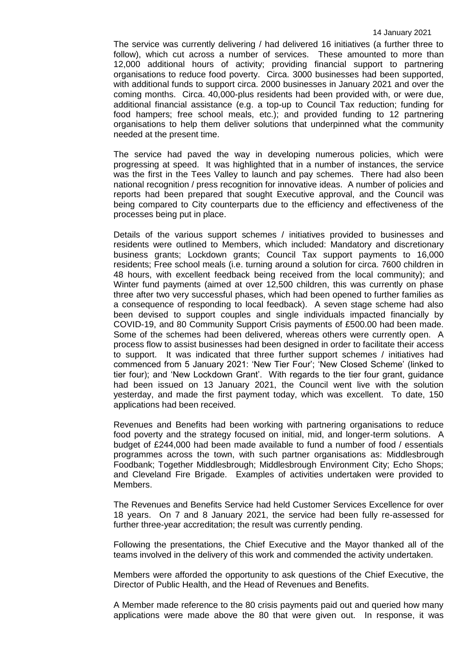The service was currently delivering / had delivered 16 initiatives (a further three to follow), which cut across a number of services. These amounted to more than 12,000 additional hours of activity; providing financial support to partnering organisations to reduce food poverty. Circa. 3000 businesses had been supported, with additional funds to support circa. 2000 businesses in January 2021 and over the coming months. Circa. 40,000-plus residents had been provided with, or were due, additional financial assistance (e.g. a top-up to Council Tax reduction; funding for food hampers; free school meals, etc.); and provided funding to 12 partnering organisations to help them deliver solutions that underpinned what the community needed at the present time.

The service had paved the way in developing numerous policies, which were progressing at speed. It was highlighted that in a number of instances, the service was the first in the Tees Valley to launch and pay schemes. There had also been national recognition / press recognition for innovative ideas. A number of policies and reports had been prepared that sought Executive approval, and the Council was being compared to City counterparts due to the efficiency and effectiveness of the processes being put in place.

Details of the various support schemes / initiatives provided to businesses and residents were outlined to Members, which included: Mandatory and discretionary business grants; Lockdown grants; Council Tax support payments to 16,000 residents; Free school meals (i.e. turning around a solution for circa. 7600 children in 48 hours, with excellent feedback being received from the local community); and Winter fund payments (aimed at over 12,500 children, this was currently on phase three after two very successful phases, which had been opened to further families as a consequence of responding to local feedback). A seven stage scheme had also been devised to support couples and single individuals impacted financially by COVID-19, and 80 Community Support Crisis payments of £500.00 had been made. Some of the schemes had been delivered, whereas others were currently open. A process flow to assist businesses had been designed in order to facilitate their access to support. It was indicated that three further support schemes / initiatives had commenced from 5 January 2021: 'New Tier Four'; 'New Closed Scheme' (linked to tier four); and 'New Lockdown Grant'. With regards to the tier four grant, guidance had been issued on 13 January 2021, the Council went live with the solution yesterday, and made the first payment today, which was excellent. To date, 150 applications had been received.

Revenues and Benefits had been working with partnering organisations to reduce food poverty and the strategy focused on initial, mid, and longer-term solutions. A budget of £244,000 had been made available to fund a number of food / essentials programmes across the town, with such partner organisations as: Middlesbrough Foodbank; Together Middlesbrough; Middlesbrough Environment City; Echo Shops; and Cleveland Fire Brigade. Examples of activities undertaken were provided to Members.

The Revenues and Benefits Service had held Customer Services Excellence for over 18 years. On 7 and 8 January 2021, the service had been fully re-assessed for further three-year accreditation; the result was currently pending.

Following the presentations, the Chief Executive and the Mayor thanked all of the teams involved in the delivery of this work and commended the activity undertaken.

Members were afforded the opportunity to ask questions of the Chief Executive, the Director of Public Health, and the Head of Revenues and Benefits.

A Member made reference to the 80 crisis payments paid out and queried how many applications were made above the 80 that were given out. In response, it was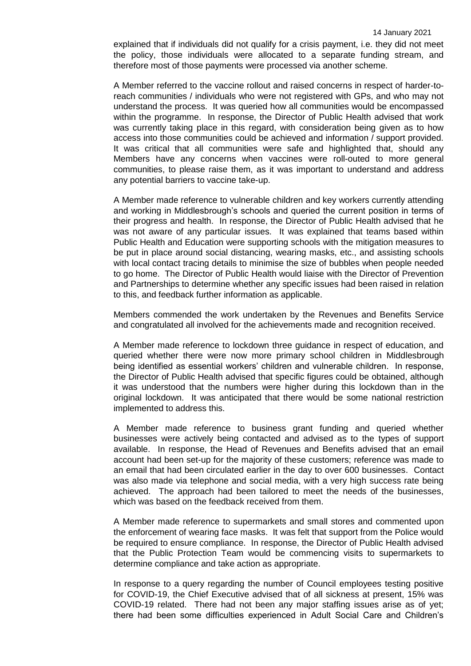explained that if individuals did not qualify for a crisis payment, i.e. they did not meet the policy, those individuals were allocated to a separate funding stream, and therefore most of those payments were processed via another scheme.

A Member referred to the vaccine rollout and raised concerns in respect of harder-toreach communities / individuals who were not registered with GPs, and who may not understand the process. It was queried how all communities would be encompassed within the programme. In response, the Director of Public Health advised that work was currently taking place in this regard, with consideration being given as to how access into those communities could be achieved and information / support provided. It was critical that all communities were safe and highlighted that, should any Members have any concerns when vaccines were roll-outed to more general communities, to please raise them, as it was important to understand and address any potential barriers to vaccine take-up.

A Member made reference to vulnerable children and key workers currently attending and working in Middlesbrough's schools and queried the current position in terms of their progress and health. In response, the Director of Public Health advised that he was not aware of any particular issues. It was explained that teams based within Public Health and Education were supporting schools with the mitigation measures to be put in place around social distancing, wearing masks, etc., and assisting schools with local contact tracing details to minimise the size of bubbles when people needed to go home. The Director of Public Health would liaise with the Director of Prevention and Partnerships to determine whether any specific issues had been raised in relation to this, and feedback further information as applicable.

Members commended the work undertaken by the Revenues and Benefits Service and congratulated all involved for the achievements made and recognition received.

A Member made reference to lockdown three guidance in respect of education, and queried whether there were now more primary school children in Middlesbrough being identified as essential workers' children and vulnerable children. In response, the Director of Public Health advised that specific figures could be obtained, although it was understood that the numbers were higher during this lockdown than in the original lockdown. It was anticipated that there would be some national restriction implemented to address this.

A Member made reference to business grant funding and queried whether businesses were actively being contacted and advised as to the types of support available. In response, the Head of Revenues and Benefits advised that an email account had been set-up for the majority of these customers; reference was made to an email that had been circulated earlier in the day to over 600 businesses. Contact was also made via telephone and social media, with a very high success rate being achieved. The approach had been tailored to meet the needs of the businesses, which was based on the feedback received from them.

A Member made reference to supermarkets and small stores and commented upon the enforcement of wearing face masks. It was felt that support from the Police would be required to ensure compliance. In response, the Director of Public Health advised that the Public Protection Team would be commencing visits to supermarkets to determine compliance and take action as appropriate.

In response to a query regarding the number of Council employees testing positive for COVID-19, the Chief Executive advised that of all sickness at present, 15% was COVID-19 related. There had not been any major staffing issues arise as of yet; there had been some difficulties experienced in Adult Social Care and Children's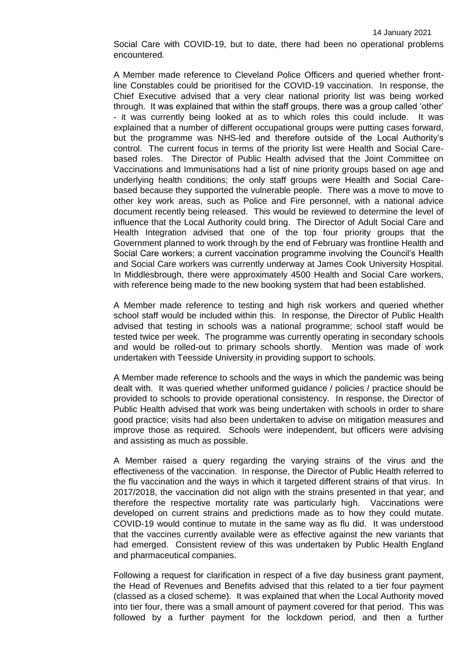Social Care with COVID-19, but to date, there had been no operational problems encountered.

A Member made reference to Cleveland Police Officers and queried whether frontline Constables could be prioritised for the COVID-19 vaccination. In response, the Chief Executive advised that a very clear national priority list was being worked through. It was explained that within the staff groups, there was a group called 'other' - it was currently being looked at as to which roles this could include. It was explained that a number of different occupational groups were putting cases forward, but the programme was NHS-led and therefore outside of the Local Authority's control. The current focus in terms of the priority list were Health and Social Carebased roles. The Director of Public Health advised that the Joint Committee on Vaccinations and Immunisations had a list of nine priority groups based on age and underlying health conditions; the only staff groups were Health and Social Carebased because they supported the vulnerable people. There was a move to move to other key work areas, such as Police and Fire personnel, with a national advice document recently being released. This would be reviewed to determine the level of influence that the Local Authority could bring. The Director of Adult Social Care and Health Integration advised that one of the top four priority groups that the Government planned to work through by the end of February was frontline Health and Social Care workers; a current vaccination programme involving the Council's Health and Social Care workers was currently underway at James Cook University Hospital. In Middlesbrough, there were approximately 4500 Health and Social Care workers, with reference being made to the new booking system that had been established.

A Member made reference to testing and high risk workers and queried whether school staff would be included within this. In response, the Director of Public Health advised that testing in schools was a national programme; school staff would be tested twice per week. The programme was currently operating in secondary schools and would be rolled-out to primary schools shortly. Mention was made of work undertaken with Teesside University in providing support to schools.

A Member made reference to schools and the ways in which the pandemic was being dealt with. It was queried whether uniformed guidance / policies / practice should be provided to schools to provide operational consistency. In response, the Director of Public Health advised that work was being undertaken with schools in order to share good practice; visits had also been undertaken to advise on mitigation measures and improve those as required. Schools were independent, but officers were advising and assisting as much as possible.

A Member raised a query regarding the varying strains of the virus and the effectiveness of the vaccination. In response, the Director of Public Health referred to the flu vaccination and the ways in which it targeted different strains of that virus. In 2017/2018, the vaccination did not align with the strains presented in that year, and therefore the respective mortality rate was particularly high. Vaccinations were developed on current strains and predictions made as to how they could mutate. COVID-19 would continue to mutate in the same way as flu did. It was understood that the vaccines currently available were as effective against the new variants that had emerged. Consistent review of this was undertaken by Public Health England and pharmaceutical companies.

Following a request for clarification in respect of a five day business grant payment, the Head of Revenues and Benefits advised that this related to a tier four payment (classed as a closed scheme). It was explained that when the Local Authority moved into tier four, there was a small amount of payment covered for that period. This was followed by a further payment for the lockdown period, and then a further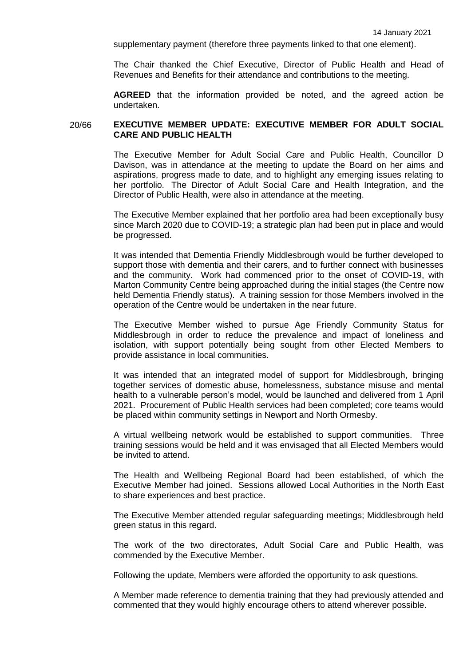supplementary payment (therefore three payments linked to that one element).

The Chair thanked the Chief Executive, Director of Public Health and Head of Revenues and Benefits for their attendance and contributions to the meeting.

**AGREED** that the information provided be noted, and the agreed action be undertaken.

#### 20/66 **EXECUTIVE MEMBER UPDATE: EXECUTIVE MEMBER FOR ADULT SOCIAL CARE AND PUBLIC HEALTH**

The Executive Member for Adult Social Care and Public Health, Councillor D Davison, was in attendance at the meeting to update the Board on her aims and aspirations, progress made to date, and to highlight any emerging issues relating to her portfolio. The Director of Adult Social Care and Health Integration, and the Director of Public Health, were also in attendance at the meeting.

The Executive Member explained that her portfolio area had been exceptionally busy since March 2020 due to COVID-19; a strategic plan had been put in place and would be progressed.

It was intended that Dementia Friendly Middlesbrough would be further developed to support those with dementia and their carers, and to further connect with businesses and the community. Work had commenced prior to the onset of COVID-19, with Marton Community Centre being approached during the initial stages (the Centre now held Dementia Friendly status). A training session for those Members involved in the operation of the Centre would be undertaken in the near future.

The Executive Member wished to pursue Age Friendly Community Status for Middlesbrough in order to reduce the prevalence and impact of loneliness and isolation, with support potentially being sought from other Elected Members to provide assistance in local communities.

It was intended that an integrated model of support for Middlesbrough, bringing together services of domestic abuse, homelessness, substance misuse and mental health to a vulnerable person's model, would be launched and delivered from 1 April 2021. Procurement of Public Health services had been completed; core teams would be placed within community settings in Newport and North Ormesby.

A virtual wellbeing network would be established to support communities. Three training sessions would be held and it was envisaged that all Elected Members would be invited to attend.

The Health and Wellbeing Regional Board had been established, of which the Executive Member had joined. Sessions allowed Local Authorities in the North East to share experiences and best practice.

The Executive Member attended regular safeguarding meetings; Middlesbrough held green status in this regard.

The work of the two directorates, Adult Social Care and Public Health, was commended by the Executive Member.

Following the update, Members were afforded the opportunity to ask questions.

A Member made reference to dementia training that they had previously attended and commented that they would highly encourage others to attend wherever possible.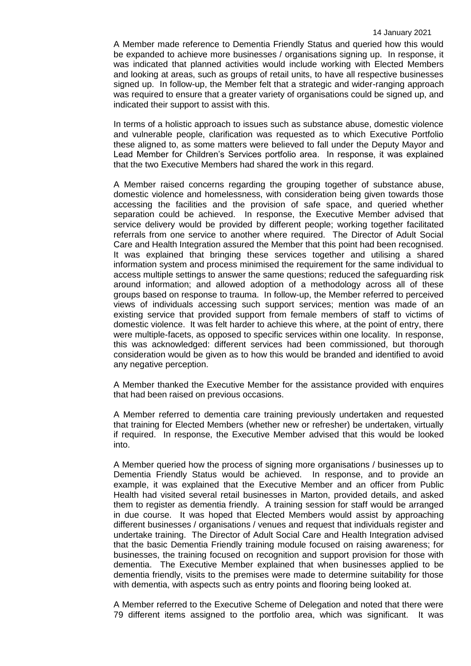A Member made reference to Dementia Friendly Status and queried how this would be expanded to achieve more businesses / organisations signing up. In response, it was indicated that planned activities would include working with Elected Members and looking at areas, such as groups of retail units, to have all respective businesses signed up. In follow-up, the Member felt that a strategic and wider-ranging approach was required to ensure that a greater variety of organisations could be signed up, and indicated their support to assist with this.

In terms of a holistic approach to issues such as substance abuse, domestic violence and vulnerable people, clarification was requested as to which Executive Portfolio these aligned to, as some matters were believed to fall under the Deputy Mayor and Lead Member for Children's Services portfolio area. In response, it was explained that the two Executive Members had shared the work in this regard.

A Member raised concerns regarding the grouping together of substance abuse, domestic violence and homelessness, with consideration being given towards those accessing the facilities and the provision of safe space, and queried whether separation could be achieved. In response, the Executive Member advised that service delivery would be provided by different people; working together facilitated referrals from one service to another where required. The Director of Adult Social Care and Health Integration assured the Member that this point had been recognised. It was explained that bringing these services together and utilising a shared information system and process minimised the requirement for the same individual to access multiple settings to answer the same questions; reduced the safeguarding risk around information; and allowed adoption of a methodology across all of these groups based on response to trauma. In follow-up, the Member referred to perceived views of individuals accessing such support services; mention was made of an existing service that provided support from female members of staff to victims of domestic violence. It was felt harder to achieve this where, at the point of entry, there were multiple-facets, as opposed to specific services within one locality. In response, this was acknowledged: different services had been commissioned, but thorough consideration would be given as to how this would be branded and identified to avoid any negative perception.

A Member thanked the Executive Member for the assistance provided with enquires that had been raised on previous occasions.

A Member referred to dementia care training previously undertaken and requested that training for Elected Members (whether new or refresher) be undertaken, virtually if required. In response, the Executive Member advised that this would be looked into.

A Member queried how the process of signing more organisations / businesses up to Dementia Friendly Status would be achieved. In response, and to provide an example, it was explained that the Executive Member and an officer from Public Health had visited several retail businesses in Marton, provided details, and asked them to register as dementia friendly. A training session for staff would be arranged in due course. It was hoped that Elected Members would assist by approaching different businesses / organisations / venues and request that individuals register and undertake training. The Director of Adult Social Care and Health Integration advised that the basic Dementia Friendly training module focused on raising awareness; for businesses, the training focused on recognition and support provision for those with dementia. The Executive Member explained that when businesses applied to be dementia friendly, visits to the premises were made to determine suitability for those with dementia, with aspects such as entry points and flooring being looked at.

A Member referred to the Executive Scheme of Delegation and noted that there were 79 different items assigned to the portfolio area, which was significant. It was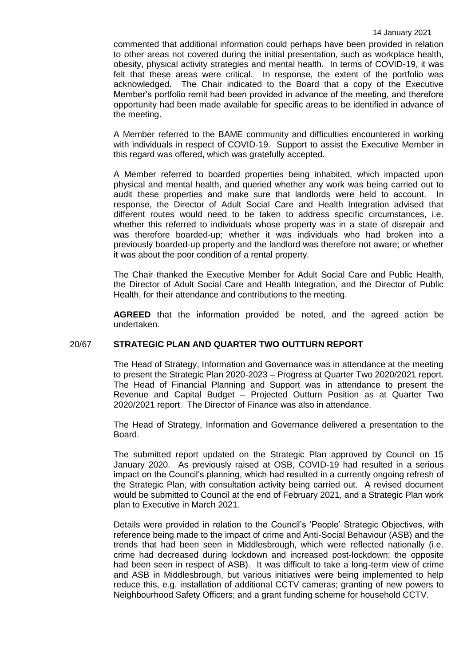commented that additional information could perhaps have been provided in relation to other areas not covered during the initial presentation, such as workplace health, obesity, physical activity strategies and mental health. In terms of COVID-19, it was felt that these areas were critical. In response, the extent of the portfolio was acknowledged. The Chair indicated to the Board that a copy of the Executive Member's portfolio remit had been provided in advance of the meeting, and therefore opportunity had been made available for specific areas to be identified in advance of the meeting.

A Member referred to the BAME community and difficulties encountered in working with individuals in respect of COVID-19. Support to assist the Executive Member in this regard was offered, which was gratefully accepted.

A Member referred to boarded properties being inhabited, which impacted upon physical and mental health, and queried whether any work was being carried out to audit these properties and make sure that landlords were held to account. In response, the Director of Adult Social Care and Health Integration advised that different routes would need to be taken to address specific circumstances, i.e. whether this referred to individuals whose property was in a state of disrepair and was therefore boarded-up; whether it was individuals who had broken into a previously boarded-up property and the landlord was therefore not aware; or whether it was about the poor condition of a rental property.

The Chair thanked the Executive Member for Adult Social Care and Public Health, the Director of Adult Social Care and Health Integration, and the Director of Public Health, for their attendance and contributions to the meeting.

**AGREED** that the information provided be noted, and the agreed action be undertaken.

# 20/67 **STRATEGIC PLAN AND QUARTER TWO OUTTURN REPORT**

The Head of Strategy, Information and Governance was in attendance at the meeting to present the Strategic Plan 2020-2023 – Progress at Quarter Two 2020/2021 report. The Head of Financial Planning and Support was in attendance to present the Revenue and Capital Budget – Projected Outturn Position as at Quarter Two 2020/2021 report. The Director of Finance was also in attendance.

The Head of Strategy, Information and Governance delivered a presentation to the Board.

The submitted report updated on the Strategic Plan approved by Council on 15 January 2020. As previously raised at OSB, COVID-19 had resulted in a serious impact on the Council's planning, which had resulted in a currently ongoing refresh of the Strategic Plan, with consultation activity being carried out. A revised document would be submitted to Council at the end of February 2021, and a Strategic Plan work plan to Executive in March 2021.

Details were provided in relation to the Council's 'People' Strategic Objectives, with reference being made to the impact of crime and Anti-Social Behaviour (ASB) and the trends that had been seen in Middlesbrough, which were reflected nationally (i.e. crime had decreased during lockdown and increased post-lockdown; the opposite had been seen in respect of ASB). It was difficult to take a long-term view of crime and ASB in Middlesbrough, but various initiatives were being implemented to help reduce this, e.g. installation of additional CCTV cameras; granting of new powers to Neighbourhood Safety Officers; and a grant funding scheme for household CCTV.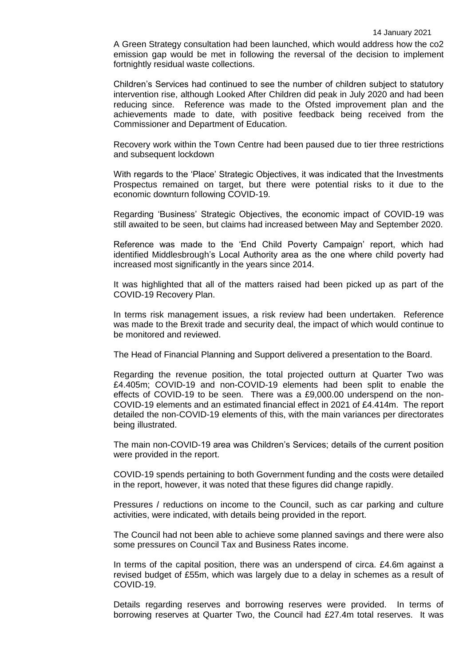A Green Strategy consultation had been launched, which would address how the co2 emission gap would be met in following the reversal of the decision to implement fortnightly residual waste collections.

Children's Services had continued to see the number of children subject to statutory intervention rise, although Looked After Children did peak in July 2020 and had been reducing since. Reference was made to the Ofsted improvement plan and the achievements made to date, with positive feedback being received from the Commissioner and Department of Education.

Recovery work within the Town Centre had been paused due to tier three restrictions and subsequent lockdown

With regards to the 'Place' Strategic Objectives, it was indicated that the Investments Prospectus remained on target, but there were potential risks to it due to the economic downturn following COVID-19.

Regarding 'Business' Strategic Objectives, the economic impact of COVID-19 was still awaited to be seen, but claims had increased between May and September 2020.

Reference was made to the 'End Child Poverty Campaign' report, which had identified Middlesbrough's Local Authority area as the one where child poverty had increased most significantly in the years since 2014.

It was highlighted that all of the matters raised had been picked up as part of the COVID-19 Recovery Plan.

In terms risk management issues, a risk review had been undertaken. Reference was made to the Brexit trade and security deal, the impact of which would continue to be monitored and reviewed.

The Head of Financial Planning and Support delivered a presentation to the Board.

Regarding the revenue position, the total projected outturn at Quarter Two was £4.405m; COVID-19 and non-COVID-19 elements had been split to enable the effects of COVID-19 to be seen. There was a £9,000.00 underspend on the non-COVID-19 elements and an estimated financial effect in 2021 of £4.414m. The report detailed the non-COVID-19 elements of this, with the main variances per directorates being illustrated.

The main non-COVID-19 area was Children's Services; details of the current position were provided in the report.

COVID-19 spends pertaining to both Government funding and the costs were detailed in the report, however, it was noted that these figures did change rapidly.

Pressures / reductions on income to the Council, such as car parking and culture activities, were indicated, with details being provided in the report.

The Council had not been able to achieve some planned savings and there were also some pressures on Council Tax and Business Rates income.

In terms of the capital position, there was an underspend of circa. £4.6m against a revised budget of £55m, which was largely due to a delay in schemes as a result of COVID-19.

Details regarding reserves and borrowing reserves were provided. In terms of borrowing reserves at Quarter Two, the Council had £27.4m total reserves. It was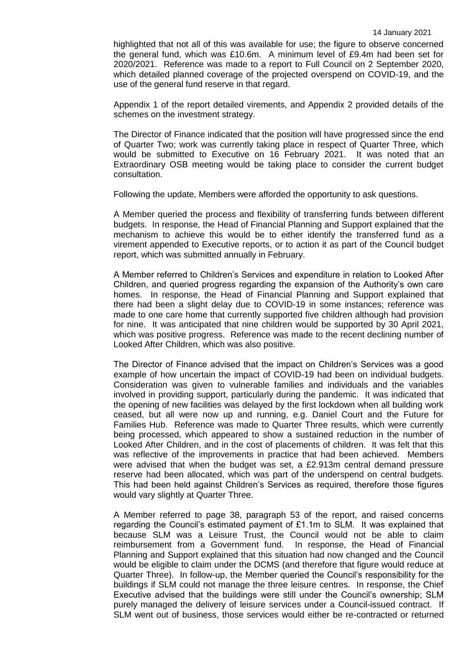highlighted that not all of this was available for use; the figure to observe concerned the general fund, which was £10.6m. A minimum level of £9.4m had been set for 2020/2021. Reference was made to a report to Full Council on 2 September 2020, which detailed planned coverage of the projected overspend on COVID-19, and the use of the general fund reserve in that regard.

Appendix 1 of the report detailed virements, and Appendix 2 provided details of the schemes on the investment strategy.

The Director of Finance indicated that the position will have progressed since the end of Quarter Two; work was currently taking place in respect of Quarter Three, which would be submitted to Executive on 16 February 2021. It was noted that an Extraordinary OSB meeting would be taking place to consider the current budget consultation.

Following the update, Members were afforded the opportunity to ask questions.

A Member queried the process and flexibility of transferring funds between different budgets. In response, the Head of Financial Planning and Support explained that the mechanism to achieve this would be to either identify the transferred fund as a virement appended to Executive reports, or to action it as part of the Council budget report, which was submitted annually in February.

A Member referred to Children's Services and expenditure in relation to Looked After Children, and queried progress regarding the expansion of the Authority's own care homes. In response, the Head of Financial Planning and Support explained that there had been a slight delay due to COVID-19 in some instances; reference was made to one care home that currently supported five children although had provision for nine. It was anticipated that nine children would be supported by 30 April 2021, which was positive progress. Reference was made to the recent declining number of Looked After Children, which was also positive.

The Director of Finance advised that the impact on Children's Services was a good example of how uncertain the impact of COVID-19 had been on individual budgets. Consideration was given to vulnerable families and individuals and the variables involved in providing support, particularly during the pandemic. It was indicated that the opening of new facilities was delayed by the first lockdown when all building work ceased, but all were now up and running, e.g. Daniel Court and the Future for Families Hub. Reference was made to Quarter Three results, which were currently being processed, which appeared to show a sustained reduction in the number of Looked After Children, and in the cost of placements of children. It was felt that this was reflective of the improvements in practice that had been achieved. Members were advised that when the budget was set, a £2.913m central demand pressure reserve had been allocated, which was part of the underspend on central budgets. This had been held against Children's Services as required, therefore those figures would vary slightly at Quarter Three.

A Member referred to page 38, paragraph 53 of the report, and raised concerns regarding the Council's estimated payment of £1.1m to SLM. It was explained that because SLM was a Leisure Trust, the Council would not be able to claim reimbursement from a Government fund. In response, the Head of Financial Planning and Support explained that this situation had now changed and the Council would be eligible to claim under the DCMS (and therefore that figure would reduce at Quarter Three). In follow-up, the Member queried the Council's responsibility for the buildings if SLM could not manage the three leisure centres. In response, the Chief Executive advised that the buildings were still under the Council's ownership; SLM purely managed the delivery of leisure services under a Council-issued contract. If SLM went out of business, those services would either be re-contracted or returned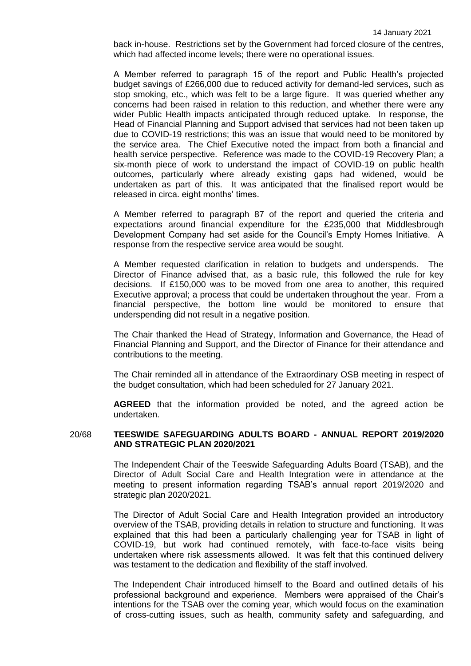back in-house. Restrictions set by the Government had forced closure of the centres, which had affected income levels; there were no operational issues.

A Member referred to paragraph 15 of the report and Public Health's projected budget savings of £266,000 due to reduced activity for demand-led services, such as stop smoking, etc., which was felt to be a large figure. It was queried whether any concerns had been raised in relation to this reduction, and whether there were any wider Public Health impacts anticipated through reduced uptake. In response, the Head of Financial Planning and Support advised that services had not been taken up due to COVID-19 restrictions; this was an issue that would need to be monitored by the service area. The Chief Executive noted the impact from both a financial and health service perspective. Reference was made to the COVID-19 Recovery Plan; a six-month piece of work to understand the impact of COVID-19 on public health outcomes, particularly where already existing gaps had widened, would be undertaken as part of this. It was anticipated that the finalised report would be released in circa. eight months' times.

A Member referred to paragraph 87 of the report and queried the criteria and expectations around financial expenditure for the £235,000 that Middlesbrough Development Company had set aside for the Council's Empty Homes Initiative. A response from the respective service area would be sought.

A Member requested clarification in relation to budgets and underspends. The Director of Finance advised that, as a basic rule, this followed the rule for key decisions. If £150,000 was to be moved from one area to another, this required Executive approval; a process that could be undertaken throughout the year. From a financial perspective, the bottom line would be monitored to ensure that underspending did not result in a negative position.

The Chair thanked the Head of Strategy, Information and Governance, the Head of Financial Planning and Support, and the Director of Finance for their attendance and contributions to the meeting.

The Chair reminded all in attendance of the Extraordinary OSB meeting in respect of the budget consultation, which had been scheduled for 27 January 2021.

**AGREED** that the information provided be noted, and the agreed action be undertaken.

#### 20/68 **TEESWIDE SAFEGUARDING ADULTS BOARD - ANNUAL REPORT 2019/2020 AND STRATEGIC PLAN 2020/2021**

The Independent Chair of the Teeswide Safeguarding Adults Board (TSAB), and the Director of Adult Social Care and Health Integration were in attendance at the meeting to present information regarding TSAB's annual report 2019/2020 and strategic plan 2020/2021.

The Director of Adult Social Care and Health Integration provided an introductory overview of the TSAB, providing details in relation to structure and functioning. It was explained that this had been a particularly challenging year for TSAB in light of COVID-19, but work had continued remotely, with face-to-face visits being undertaken where risk assessments allowed. It was felt that this continued delivery was testament to the dedication and flexibility of the staff involved.

The Independent Chair introduced himself to the Board and outlined details of his professional background and experience. Members were appraised of the Chair's intentions for the TSAB over the coming year, which would focus on the examination of cross-cutting issues, such as health, community safety and safeguarding, and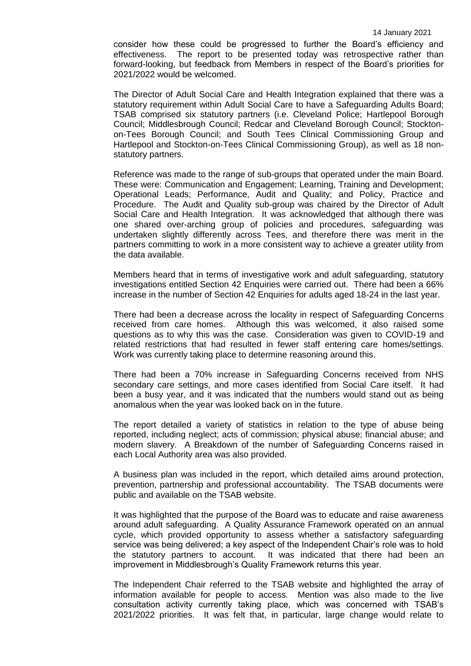consider how these could be progressed to further the Board's efficiency and effectiveness. The report to be presented today was retrospective rather than forward-looking, but feedback from Members in respect of the Board's priorities for 2021/2022 would be welcomed.

The Director of Adult Social Care and Health Integration explained that there was a statutory requirement within Adult Social Care to have a Safeguarding Adults Board; TSAB comprised six statutory partners (i.e. Cleveland Police; Hartlepool Borough Council; Middlesbrough Council; Redcar and Cleveland Borough Council; Stocktonon-Tees Borough Council; and South Tees Clinical Commissioning Group and Hartlepool and Stockton-on-Tees Clinical Commissioning Group), as well as 18 nonstatutory partners.

Reference was made to the range of sub-groups that operated under the main Board. These were: Communication and Engagement; Learning, Training and Development; Operational Leads; Performance, Audit and Quality; and Policy, Practice and Procedure. The Audit and Quality sub-group was chaired by the Director of Adult Social Care and Health Integration. It was acknowledged that although there was one shared over-arching group of policies and procedures, safeguarding was undertaken slightly differently across Tees, and therefore there was merit in the partners committing to work in a more consistent way to achieve a greater utility from the data available.

Members heard that in terms of investigative work and adult safeguarding, statutory investigations entitled Section 42 Enquiries were carried out. There had been a 66% increase in the number of Section 42 Enquiries for adults aged 18-24 in the last year.

There had been a decrease across the locality in respect of Safeguarding Concerns received from care homes. Although this was welcomed, it also raised some questions as to why this was the case. Consideration was given to COVID-19 and related restrictions that had resulted in fewer staff entering care homes/settings. Work was currently taking place to determine reasoning around this.

There had been a 70% increase in Safeguarding Concerns received from NHS secondary care settings, and more cases identified from Social Care itself. It had been a busy year, and it was indicated that the numbers would stand out as being anomalous when the year was looked back on in the future.

The report detailed a variety of statistics in relation to the type of abuse being reported, including neglect; acts of commission; physical abuse; financial abuse; and modern slavery. A Breakdown of the number of Safeguarding Concerns raised in each Local Authority area was also provided.

A business plan was included in the report, which detailed aims around protection, prevention, partnership and professional accountability. The TSAB documents were public and available on the TSAB website.

It was highlighted that the purpose of the Board was to educate and raise awareness around adult safeguarding. A Quality Assurance Framework operated on an annual cycle, which provided opportunity to assess whether a satisfactory safeguarding service was being delivered; a key aspect of the Independent Chair's role was to hold the statutory partners to account. It was indicated that there had been an improvement in Middlesbrough's Quality Framework returns this year.

The Independent Chair referred to the TSAB website and highlighted the array of information available for people to access. Mention was also made to the live consultation activity currently taking place, which was concerned with TSAB's 2021/2022 priorities. It was felt that, in particular, large change would relate to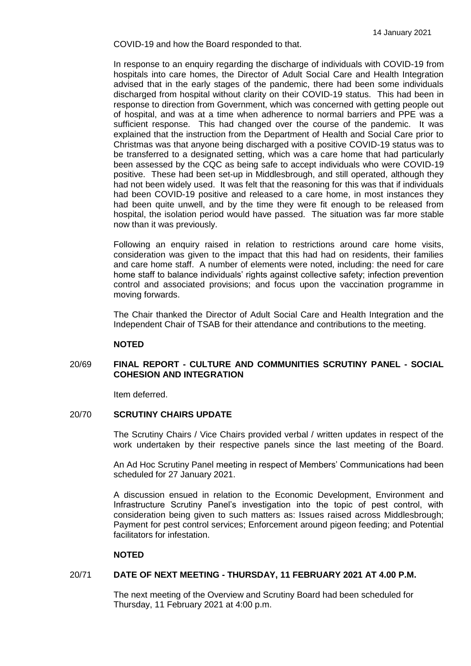COVID-19 and how the Board responded to that.

In response to an enquiry regarding the discharge of individuals with COVID-19 from hospitals into care homes, the Director of Adult Social Care and Health Integration advised that in the early stages of the pandemic, there had been some individuals discharged from hospital without clarity on their COVID-19 status. This had been in response to direction from Government, which was concerned with getting people out of hospital, and was at a time when adherence to normal barriers and PPE was a sufficient response. This had changed over the course of the pandemic. It was explained that the instruction from the Department of Health and Social Care prior to Christmas was that anyone being discharged with a positive COVID-19 status was to be transferred to a designated setting, which was a care home that had particularly been assessed by the CQC as being safe to accept individuals who were COVID-19 positive. These had been set-up in Middlesbrough, and still operated, although they had not been widely used. It was felt that the reasoning for this was that if individuals had been COVID-19 positive and released to a care home, in most instances they had been quite unwell, and by the time they were fit enough to be released from hospital, the isolation period would have passed. The situation was far more stable now than it was previously.

Following an enquiry raised in relation to restrictions around care home visits, consideration was given to the impact that this had had on residents, their families and care home staff. A number of elements were noted, including: the need for care home staff to balance individuals' rights against collective safety; infection prevention control and associated provisions; and focus upon the vaccination programme in moving forwards.

The Chair thanked the Director of Adult Social Care and Health Integration and the Independent Chair of TSAB for their attendance and contributions to the meeting.

#### **NOTED**

## 20/69 **FINAL REPORT - CULTURE AND COMMUNITIES SCRUTINY PANEL - SOCIAL COHESION AND INTEGRATION**

Item deferred.

#### 20/70 **SCRUTINY CHAIRS UPDATE**

The Scrutiny Chairs / Vice Chairs provided verbal / written updates in respect of the work undertaken by their respective panels since the last meeting of the Board.

An Ad Hoc Scrutiny Panel meeting in respect of Members' Communications had been scheduled for 27 January 2021.

A discussion ensued in relation to the Economic Development, Environment and Infrastructure Scrutiny Panel's investigation into the topic of pest control, with consideration being given to such matters as: Issues raised across Middlesbrough; Payment for pest control services; Enforcement around pigeon feeding; and Potential facilitators for infestation.

# **NOTED**

#### 20/71 **DATE OF NEXT MEETING - THURSDAY, 11 FEBRUARY 2021 AT 4.00 P.M.**

The next meeting of the Overview and Scrutiny Board had been scheduled for Thursday, 11 February 2021 at 4:00 p.m.